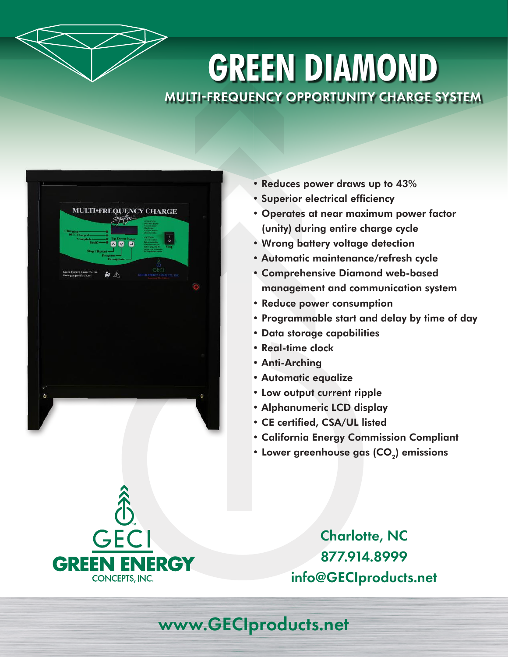

## **GREEN DIAMOND** MULTI-FREQUENCY OPPORTUNITY CHARGE SYSTEM

|   |                                                     | System                                                                                                    | <b>MULTI•FREQUENCY CHARGE</b><br>OPERATION<br>INSTRUCTION<br>May Renor |   |
|---|-----------------------------------------------------|-----------------------------------------------------------------------------------------------------------|------------------------------------------------------------------------|---|
|   | Charging-<br>80% Charged-<br>Complete-<br>Finalt!-  | ۰<br>-6<br>.a<br><b>Up Down Enter</b><br>۰<br>$\mathbf{\Sigma}$<br>$\blacksquare$<br>ඏ<br>Stop / Restart- | <b>The Company</b><br>T<br>$\circ$<br>Stop                             |   |
|   | Green Energy Concepts, Inc.<br>www.geciproducts.net | Program-<br>Desulphate-<br>$\frac{2}{\sqrt{2}}$                                                           | GECI<br>GREEN EREROY CONCEPTS, INC.                                    |   |
|   |                                                     |                                                                                                           |                                                                        |   |
|   |                                                     |                                                                                                           |                                                                        |   |
|   |                                                     |                                                                                                           |                                                                        |   |
|   |                                                     |                                                                                                           |                                                                        |   |
| ۰ |                                                     |                                                                                                           |                                                                        | ¢ |

- Reduces power draws up to 43%
- Superior electrical efficiency
- Operates at near maximum power factor (unity) during entire charge cycle
- Wrong battery voltage detection
- Automatic maintenance/refresh cycle
- Comprehensive Diamond web-based management and communication system
- Reduce power consumption
- Programmable start and delay by time of day
- Data storage capabilities
- Real-time clock
- Anti-Arching
- Automatic equalize
- Low output current ripple
- Alphanumeric LCD display
- CE certified, CSA/UL listed
- California Energy Commission Compliant
- Lower greenhouse gas  $(CO<sub>2</sub>)$  emissions

Charlotte, NC 877.914.8999 info@GECIproducts.net



www.GECIproducts.net